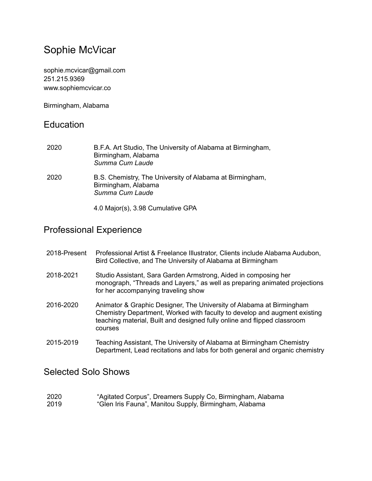# Sophie McVicar

[sophie.mcvicar@gmail.com](mailto:sophie.mcvicar@gmail.com) 251.215.9369 www.sophiemcvicar.co

Birmingham, Alabama

### **Education**

| 2020 | B.F.A. Art Studio, The University of Alabama at Birmingham,<br>Birmingham, Alabama<br>Summa Cum Laude |
|------|-------------------------------------------------------------------------------------------------------|
| 2020 | B.S. Chemistry, The University of Alabama at Birmingham,<br>Birmingham, Alabama<br>Summa Cum Laude    |
|      | 4.0 Major(s), 3.98 Cumulative GPA                                                                     |

## Professional Experience

| 2018-Present | Professional Artist & Freelance Illustrator, Clients include Alabama Audubon,<br>Bird Collective, and The University of Alabama at Birmingham                                                                                            |
|--------------|------------------------------------------------------------------------------------------------------------------------------------------------------------------------------------------------------------------------------------------|
| 2018-2021    | Studio Assistant, Sara Garden Armstrong, Aided in composing her<br>monograph, "Threads and Layers," as well as preparing animated projections<br>for her accompanying traveling show                                                     |
| 2016-2020    | Animator & Graphic Designer, The University of Alabama at Birmingham<br>Chemistry Department, Worked with faculty to develop and augment existing<br>teaching material, Built and designed fully online and flipped classroom<br>courses |
| 2015-2019    | Teaching Assistant, The University of Alabama at Birmingham Chemistry<br>Department, Lead recitations and labs for both general and organic chemistry                                                                                    |

#### Selected Solo Shows

| 2020 | "Agitated Corpus", Dreamers Supply Co, Birmingham, Alabama |
|------|------------------------------------------------------------|
| 2019 | "Glen Iris Fauna", Manitou Supply, Birmingham, Alabama     |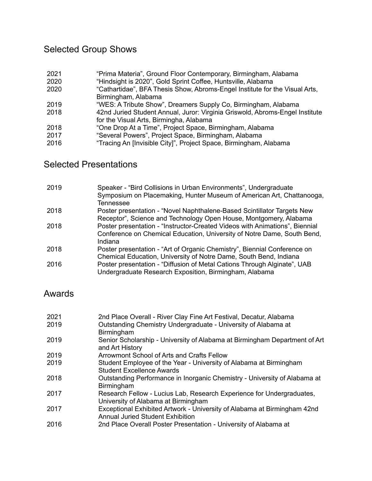## Selected Group Shows

- 2021 "Prima Materia", Ground Floor Contemporary, Birmingham, Alabama
- 2020 "Hindsight is 2020", Gold Sprint Coffee, Huntsville, Alabama
- 2020 "Cathartidae", BFA Thesis Show, Abroms-Engel Institute for the Visual Arts, Birmingham, Alabama
- 2019 "WES: A Tribute Show", Dreamers Supply Co, Birmingham, Alabama
- 2018 42nd Juried Student Annual, Juror: Virginia Griswold, Abroms-Engel Institute for the Visual Arts, Birmingha, Alabama
- 2018 "One Drop At a Time", Project Space, Birmingham, Alabama
- 2017 "Several Powers", Project Space, Birmingham, Alabama
- 2016 "Tracing An [Invisible City]", Project Space, Birmingham, Alabama

### Selected Presentations

| 2019 | Speaker - "Bird Collisions in Urban Environments", Undergraduate<br>Symposium on Placemaking, Hunter Museum of American Art, Chattanooga,<br>Tennessee            |
|------|-------------------------------------------------------------------------------------------------------------------------------------------------------------------|
| 2018 | Poster presentation - "Novel Naphthalene-Based Scintillator Targets New<br>Receptor", Science and Technology Open House, Montgomery, Alabama                      |
| 2018 | Poster presentation - "Instructor-Created Videos with Animations", Biennial<br>Conference on Chemical Education, University of Notre Dame, South Bend,<br>Indiana |
| 2018 | Poster presentation - "Art of Organic Chemistry", Biennial Conference on<br>Chemical Education, University of Notre Dame, South Bend, Indiana                     |
| 2016 | Poster presentation - "Diffusion of Metal Cations Through Alginate", UAB<br>Undergraduate Research Exposition, Birmingham, Alabama                                |

#### Awards

| 2021 | 2nd Place Overall - River Clay Fine Art Festival, Decatur, Alabama                                                  |
|------|---------------------------------------------------------------------------------------------------------------------|
| 2019 | Outstanding Chemistry Undergraduate - University of Alabama at<br>Birmingham                                        |
| 2019 | Senior Scholarship - University of Alabama at Birmingham Department of Art<br>and Art History                       |
| 2019 | Arrowmont School of Arts and Crafts Fellow                                                                          |
| 2019 | Student Employee of the Year - University of Alabama at Birmingham<br><b>Student Excellence Awards</b>              |
| 2018 | Outstanding Performance in Inorganic Chemistry - University of Alabama at<br>Birmingham                             |
| 2017 | Research Fellow - Lucius Lab, Research Experience for Undergraduates,<br>University of Alabama at Birmingham        |
| 2017 | Exceptional Exhibited Artwork - University of Alabama at Birmingham 42nd<br><b>Annual Juried Student Exhibition</b> |
| 2016 | 2nd Place Overall Poster Presentation - University of Alabama at                                                    |